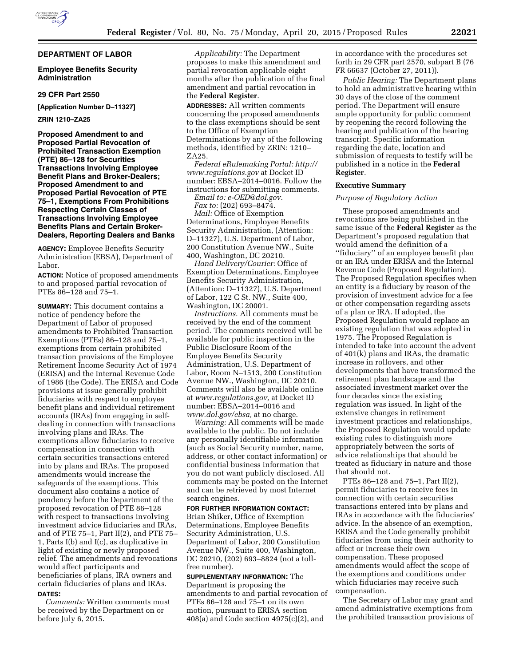### **DEPARTMENT OF LABOR**

### **Employee Benefits Security Administration**

### **29 CFR Part 2550**

**[Application Number D–11327]** 

**ZRIN 1210–ZA25** 

**Proposed Amendment to and Proposed Partial Revocation of Prohibited Transaction Exemption (PTE) 86–128 for Securities Transactions Involving Employee Benefit Plans and Broker-Dealers; Proposed Amendment to and Proposed Partial Revocation of PTE 75–1, Exemptions From Prohibitions Respecting Certain Classes of Transactions Involving Employee Benefits Plans and Certain Broker-Dealers, Reporting Dealers and Banks** 

**AGENCY:** Employee Benefits Security Administration (EBSA), Department of Labor.

**ACTION:** Notice of proposed amendments to and proposed partial revocation of PTEs 86–128 and 75–1.

**SUMMARY:** This document contains a notice of pendency before the Department of Labor of proposed amendments to Prohibited Transaction Exemptions (PTEs) 86–128 and 75–1, exemptions from certain prohibited transaction provisions of the Employee Retirement Income Security Act of 1974 (ERISA) and the Internal Revenue Code of 1986 (the Code). The ERISA and Code provisions at issue generally prohibit fiduciaries with respect to employee benefit plans and individual retirement accounts (IRAs) from engaging in selfdealing in connection with transactions involving plans and IRAs. The exemptions allow fiduciaries to receive compensation in connection with certain securities transactions entered into by plans and IRAs. The proposed amendments would increase the safeguards of the exemptions. This document also contains a notice of pendency before the Department of the proposed revocation of PTE 86–128 with respect to transactions involving investment advice fiduciaries and IRAs, and of PTE 75–1, Part II(2), and PTE 75– 1, Parts I(b) and I(c), as duplicative in light of existing or newly proposed relief. The amendments and revocations would affect participants and beneficiaries of plans, IRA owners and certain fiduciaries of plans and IRAs. **DATES:**

*Comments:* Written comments must be received by the Department on or before July 6, 2015.

*Applicability:* The Department proposes to make this amendment and partial revocation applicable eight months after the publication of the final amendment and partial revocation in the **Federal Register**.

**ADDRESSES:** All written comments concerning the proposed amendments to the class exemptions should be sent to the Office of Exemption Determinations by any of the following methods, identified by ZRIN: 1210– ZA25.

*Federal eRulemaking Portal: [http://](http://www.regulations.gov) [www.regulations.gov](http://www.regulations.gov)* at Docket ID number: EBSA–2014–0016. Follow the instructions for submitting comments.

*Email to: [e-OED@dol.gov.](mailto:e-OED@dol.gov)* 

*Fax to:* (202) 693–8474.

*Mail:* Office of Exemption Determinations, Employee Benefits Security Administration, (Attention: D–11327), U.S. Department of Labor, 200 Constitution Avenue NW., Suite 400, Washington, DC 20210.

*Hand Delivery/Courier:* Office of Exemption Determinations, Employee Benefits Security Administration, (Attention: D–11327), U.S. Department of Labor, 122 C St. NW., Suite 400, Washington, DC 20001.

*Instructions.* All comments must be received by the end of the comment period. The comments received will be available for public inspection in the Public Disclosure Room of the Employee Benefits Security Administration, U.S. Department of Labor, Room N–1513, 200 Constitution Avenue NW., Washington, DC 20210. Comments will also be available online at *[www.regulations.gov,](http://www.regulations.gov)* at Docket ID number: EBSA–2014–0016 and *[www.dol.gov/ebsa,](http://www.dol.gov/ebsa)* at no charge.

*Warning:* All comments will be made available to the public. Do not include any personally identifiable information (such as Social Security number, name, address, or other contact information) or confidential business information that you do not want publicly disclosed. All comments may be posted on the Internet and can be retrieved by most Internet search engines.

#### **FOR FURTHER INFORMATION CONTACT:**

Brian Shiker, Office of Exemption Determinations, Employee Benefits Security Administration, U.S. Department of Labor, 200 Constitution Avenue NW., Suite 400, Washington, DC 20210, (202) 693–8824 (not a tollfree number).

**SUPPLEMENTARY INFORMATION:** The Department is proposing the amendments to and partial revocation of PTEs 86–128 and 75–1 on its own motion, pursuant to ERISA section 408(a) and Code section 4975(c)(2), and

in accordance with the procedures set forth in 29 CFR part 2570, subpart B (76 FR 66637 (October 27, 2011)).

*Public Hearing:* The Department plans to hold an administrative hearing within 30 days of the close of the comment period. The Department will ensure ample opportunity for public comment by reopening the record following the hearing and publication of the hearing transcript. Specific information regarding the date, location and submission of requests to testify will be published in a notice in the **Federal Register**.

#### **Executive Summary**

### *Purpose of Regulatory Action*

These proposed amendments and revocations are being published in the same issue of the **Federal Register** as the Department's proposed regulation that would amend the definition of a ''fiduciary'' of an employee benefit plan or an IRA under ERISA and the Internal Revenue Code (Proposed Regulation). The Proposed Regulation specifies when an entity is a fiduciary by reason of the provision of investment advice for a fee or other compensation regarding assets of a plan or IRA. If adopted, the Proposed Regulation would replace an existing regulation that was adopted in 1975. The Proposed Regulation is intended to take into account the advent of 401(k) plans and IRAs, the dramatic increase in rollovers, and other developments that have transformed the retirement plan landscape and the associated investment market over the four decades since the existing regulation was issued. In light of the extensive changes in retirement investment practices and relationships, the Proposed Regulation would update existing rules to distinguish more appropriately between the sorts of advice relationships that should be treated as fiduciary in nature and those that should not.

PTEs 86–128 and 75–1, Part II(2), permit fiduciaries to receive fees in connection with certain securities transactions entered into by plans and IRAs in accordance with the fiduciaries' advice. In the absence of an exemption, ERISA and the Code generally prohibit fiduciaries from using their authority to affect or increase their own compensation. These proposed amendments would affect the scope of the exemptions and conditions under which fiduciaries may receive such compensation.

The Secretary of Labor may grant and amend administrative exemptions from the prohibited transaction provisions of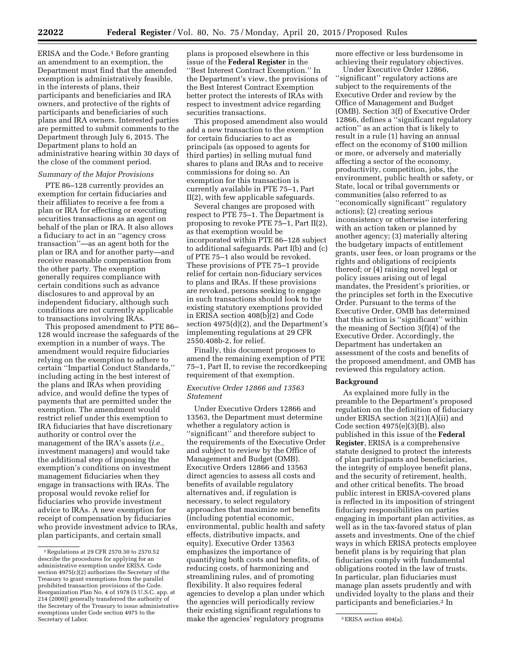Department must find that the amended exemption is administratively feasible, in the interests of plans, their participants and beneficiaries and IRA owners, and protective of the rights of participants and beneficiaries of such plans and IRA owners. Interested parties are permitted to submit comments to the Department through July 6, 2015. The Department plans to hold an administrative hearing within 30 days of the close of the comment period.

### *Summary of the Major Provisions*

PTE 86–128 currently provides an exemption for certain fiduciaries and their affiliates to receive a fee from a plan or IRA for effecting or executing securities transactions as an agent on behalf of the plan or IRA. It also allows a fiduciary to act in an ''agency cross transaction''—as an agent both for the plan or IRA and for another party—and receive reasonable compensation from the other party. The exemption generally requires compliance with certain conditions such as advance disclosures to and approval by an independent fiduciary, although such conditions are not currently applicable to transactions involving IRAs.

This proposed amendment to PTE 86– 128 would increase the safeguards of the exemption in a number of ways. The amendment would require fiduciaries relying on the exemption to adhere to certain ''Impartial Conduct Standards,'' including acting in the best interest of the plans and IRAs when providing advice, and would define the types of payments that are permitted under the exemption. The amendment would restrict relief under this exemption to IRA fiduciaries that have discretionary authority or control over the management of the IRA's assets (*i.e.,*  investment managers) and would take the additional step of imposing the exemption's conditions on investment management fiduciaries when they engage in transactions with IRAs. The proposal would revoke relief for fiduciaries who provide investment advice to IRAs. A new exemption for receipt of compensation by fiduciaries who provide investment advice to IRAs, plan participants, and certain small

plans is proposed elsewhere in this issue of the **Federal Register** in the ''Best Interest Contract Exemption.'' In the Department's view, the provisions of the Best Interest Contract Exemption better protect the interests of IRAs with respect to investment advice regarding securities transactions.

This proposed amendment also would add a new transaction to the exemption for certain fiduciaries to act as principals (as opposed to agents for third parties) in selling mutual fund shares to plans and IRAs and to receive commissions for doing so. An exemption for this transaction is currently available in PTE 75–1, Part II(2), with few applicable safeguards.

Several changes are proposed with respect to PTE 75–1. The Department is proposing to revoke PTE 75–1, Part II(2), as that exemption would be incorporated within PTE 86–128 subject to additional safeguards. Part I(b) and (c) of PTE 75–1 also would be revoked. These provisions of PTE 75–1 provide relief for certain non-fiduciary services to plans and IRAs. If these provisions are revoked, persons seeking to engage in such transactions should look to the existing statutory exemptions provided in ERISA section 408(b)(2) and Code section 4975(d)(2), and the Department's implementing regulations at 29 CFR 2550.408b-2, for relief.

Finally, this document proposes to amend the remaining exemption of PTE 75–1, Part II, to revise the recordkeeping requirement of that exemption.

## *Executive Order 12866 and 13563 Statement*

Secretary of Labor. 2ERISA section 404(a). make the agencies' regulatory programs Under Executive Orders 12866 and 13563, the Department must determine whether a regulatory action is ''significant'' and therefore subject to the requirements of the Executive Order and subject to review by the Office of Management and Budget (OMB). Executive Orders 12866 and 13563 direct agencies to assess all costs and benefits of available regulatory alternatives and, if regulation is necessary, to select regulatory approaches that maximize net benefits (including potential economic, environmental, public health and safety effects, distributive impacts, and equity). Executive Order 13563 emphasizes the importance of quantifying both costs and benefits, of reducing costs, of harmonizing and streamlining rules, and of promoting flexibility. It also requires federal agencies to develop a plan under which the agencies will periodically review their existing significant regulations to

more effective or less burdensome in achieving their regulatory objectives.

Under Executive Order 12866, ''significant'' regulatory actions are subject to the requirements of the Executive Order and review by the Office of Management and Budget (OMB). Section 3(f) of Executive Order 12866, defines a ''significant regulatory action'' as an action that is likely to result in a rule (1) having an annual effect on the economy of \$100 million or more, or adversely and materially affecting a sector of the economy, productivity, competition, jobs, the environment, public health or safety, or State, local or tribal governments or communities (also referred to as ''economically significant'' regulatory actions); (2) creating serious inconsistency or otherwise interfering with an action taken or planned by another agency; (3) materially altering the budgetary impacts of entitlement grants, user fees, or loan programs or the rights and obligations of recipients thereof; or (4) raising novel legal or policy issues arising out of legal mandates, the President's priorities, or the principles set forth in the Executive Order. Pursuant to the terms of the Executive Order, OMB has determined that this action is ''significant'' within the meaning of Section 3(f)(4) of the Executive Order. Accordingly, the Department has undertaken an assessment of the costs and benefits of the proposed amendment, and OMB has reviewed this regulatory action.

### **Background**

As explained more fully in the preamble to the Department's proposed regulation on the definition of fiduciary under ERISA section 3(21)(A)(ii) and Code section 4975(e)(3)(B), also published in this issue of the **Federal Register**, ERISA is a comprehensive statute designed to protect the interests of plan participants and beneficiaries, the integrity of employee benefit plans, and the security of retirement, health, and other critical benefits. The broad public interest in ERISA-covered plans is reflected in its imposition of stringent fiduciary responsibilities on parties engaging in important plan activities, as well as in the tax-favored status of plan assets and investments. One of the chief ways in which ERISA protects employee benefit plans is by requiring that plan fiduciaries comply with fundamental obligations rooted in the law of trusts. In particular, plan fiduciaries must manage plan assets prudently and with undivided loyalty to the plans and their participants and beneficiaries.2 In

<sup>1</sup>Regulations at 29 CFR 2570.30 to 2570.52 describe the procedures for applying for an administrative exemption under ERISA. Code section 4975(c)(2) authorizes the Secretary of the Treasury to grant exemptions from the parallel prohibited transaction provisions of the Code. Reorganization Plan No. 4 of 1978 (5 U.S.C. app. at 214 (2000)) generally transferred the authority of the Secretary of the Treasury to issue administrative exemptions under Code section 4975 to the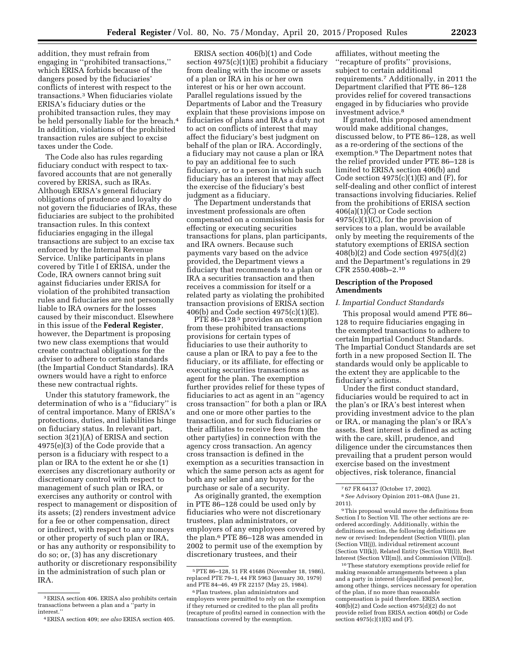addition, they must refrain from engaging in ''prohibited transactions,'' which ERISA forbids because of the dangers posed by the fiduciaries' conflicts of interest with respect to the transactions.3 When fiduciaries violate ERISA's fiduciary duties or the prohibited transaction rules, they may be held personally liable for the breach.<sup>4</sup> In addition, violations of the prohibited transaction rules are subject to excise taxes under the Code.

The Code also has rules regarding fiduciary conduct with respect to taxfavored accounts that are not generally covered by ERISA, such as IRAs. Although ERISA's general fiduciary obligations of prudence and loyalty do not govern the fiduciaries of IRAs, these fiduciaries are subject to the prohibited transaction rules. In this context fiduciaries engaging in the illegal transactions are subject to an excise tax enforced by the Internal Revenue Service. Unlike participants in plans covered by Title I of ERISA, under the Code, IRA owners cannot bring suit against fiduciaries under ERISA for violation of the prohibited transaction rules and fiduciaries are not personally liable to IRA owners for the losses caused by their misconduct. Elsewhere in this issue of the **Federal Register**, however, the Department is proposing two new class exemptions that would create contractual obligations for the adviser to adhere to certain standards (the Impartial Conduct Standards). IRA owners would have a right to enforce these new contractual rights.

Under this statutory framework, the determination of who is a ''fiduciary'' is of central importance. Many of ERISA's protections, duties, and liabilities hinge on fiduciary status. In relevant part, section 3(21)(A) of ERISA and section 4975(e)(3) of the Code provide that a person is a fiduciary with respect to a plan or IRA to the extent he or she (1) exercises any discretionary authority or discretionary control with respect to management of such plan or IRA, or exercises any authority or control with respect to management or disposition of its assets; (2) renders investment advice for a fee or other compensation, direct or indirect, with respect to any moneys or other property of such plan or IRA, or has any authority or responsibility to do so; or, (3) has any discretionary authority or discretionary responsibility in the administration of such plan or IRA.

ERISA section 406(b)(1) and Code section 4975(c)(1)(E) prohibit a fiduciary from dealing with the income or assets of a plan or IRA in his or her own interest or his or her own account. Parallel regulations issued by the Departments of Labor and the Treasury explain that these provisions impose on fiduciaries of plans and IRAs a duty not to act on conflicts of interest that may affect the fiduciary's best judgment on behalf of the plan or IRA. Accordingly, a fiduciary may not cause a plan or IRA to pay an additional fee to such fiduciary, or to a person in which such fiduciary has an interest that may affect the exercise of the fiduciary's best judgment as a fiduciary.

The Department understands that investment professionals are often compensated on a commission basis for effecting or executing securities transactions for plans, plan participants, and IRA owners. Because such payments vary based on the advice provided, the Department views a fiduciary that recommends to a plan or IRA a securities transaction and then receives a commission for itself or a related party as violating the prohibited transaction provisions of ERISA section 406(b) and Code section 4975(c)(1)(E).

PTE 86-128<sup>5</sup> provides an exemption from these prohibited transactions provisions for certain types of fiduciaries to use their authority to cause a plan or IRA to pay a fee to the fiduciary, or its affiliate, for effecting or executing securities transactions as agent for the plan. The exemption further provides relief for these types of fiduciaries to act as agent in an ''agency cross transaction'' for both a plan or IRA and one or more other parties to the transaction, and for such fiduciaries or their affiliates to receive fees from the other party(ies) in connection with the agency cross transaction. An agency cross transaction is defined in the exemption as a securities transaction in which the same person acts as agent for both any seller and any buyer for the purchase or sale of a security.

As originally granted, the exemption in PTE 86–128 could be used only by fiduciaries who were not discretionary trustees, plan administrators, or employers of any employees covered by the plan.6 PTE 86–128 was amended in 2002 to permit use of the exemption by discretionary trustees, and their

affiliates, without meeting the ''recapture of profits'' provisions, subject to certain additional requirements.7 Additionally, in 2011 the Department clarified that PTE 86–128 provides relief for covered transactions engaged in by fiduciaries who provide investment advice.8

If granted, this proposed amendment would make additional changes, discussed below, to PTE 86–128, as well as a re-ordering of the sections of the exemption.9 The Department notes that the relief provided under PTE 86–128 is limited to ERISA section 406(b) and Code section  $4975(c)(1)(E)$  and  $(F)$ , for self-dealing and other conflict of interest transactions involving fiduciaries. Relief from the prohibitions of ERISA section 406(a)(1)(C) or Code section  $4975(c)(1)(C)$ , for the provision of services to a plan, would be available only by meeting the requirements of the statutory exemptions of ERISA section 408(b)(2) and Code section 4975(d)(2) and the Department's regulations in 29 CFR 2550.408b–2.10

# **Description of the Proposed Amendments**

#### *I. Impartial Conduct Standards*

This proposal would amend PTE 86– 128 to require fiduciaries engaging in the exempted transactions to adhere to certain Impartial Conduct Standards. The Impartial Conduct Standards are set forth in a new proposed Section II. The standards would only be applicable to the extent they are applicable to the fiduciary's actions.

Under the first conduct standard, fiduciaries would be required to act in the plan's or IRA's best interest when providing investment advice to the plan or IRA, or managing the plan's or IRA's assets. Best interest is defined as acting with the care, skill, prudence, and diligence under the circumstances then prevailing that a prudent person would exercise based on the investment objectives, risk tolerance, financial

10These statutory exemptions provide relief for making reasonable arrangements between a plan and a party in interest (disqualified person) for, among other things, services necessary for operation of the plan, if no more than reasonable compensation is paid therefore. ERISA section  $408(b)(2)$  and Code section  $4975(d)(2)$  do not provide relief from ERISA section 406(b) or Code section  $4975(c)(1)(E)$  and  $(F)$ .

<sup>3</sup>ERISA section 406. ERISA also prohibits certain transactions between a plan and a ''party in interest.''

<sup>4</sup>ERISA section 409; *see also* ERISA section 405.

<sup>5</sup>PTE 86–128, 51 FR 41686 (November 18, 1986), replaced PTE 79–1, 44 FR 5963 (January 30, 1979) and PTE 84–46, 49 FR 22157 (May 25, 1984).

<sup>6</sup>Plan trustees, plan administrators and employers were permitted to rely on the exemption if they returned or credited to the plan all profits (recapture of profits) earned in connection with the transactions covered by the exemption.

<sup>7</sup> 67 FR 64137 (October 17, 2002).

<sup>8</sup>*See* Advisory Opinion 2011–08A (June 21, 2011).

<sup>9</sup>This proposal would move the definitions from Section I to Section VII. The other sections are reordered accordingly. Additionally, within the definitions section, the following definitions are new or revised: Independent (Section VII(f)), plan (Section VII(j)), individual retirement account (Section VII(k)), Related Entity (Section VII(l)), Best Interest (Section VII(m)), and Commission (VII(n)).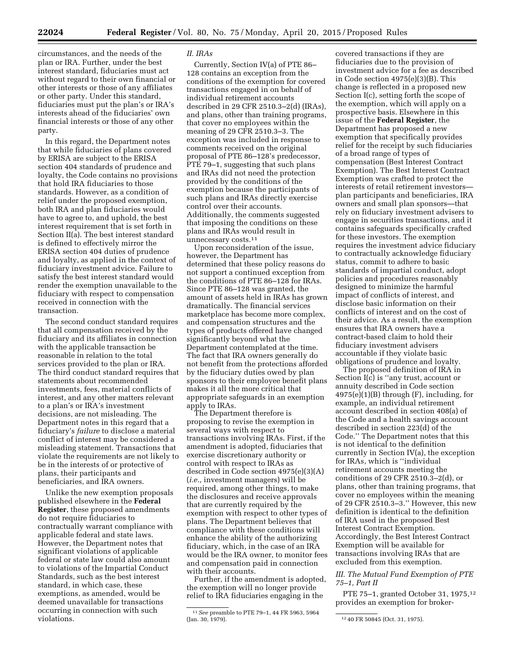circumstances, and the needs of the plan or IRA. Further, under the best interest standard, fiduciaries must act without regard to their own financial or other interests or those of any affiliates or other party. Under this standard, fiduciaries must put the plan's or IRA's interests ahead of the fiduciaries' own financial interests or those of any other party.

In this regard, the Department notes that while fiduciaries of plans covered by ERISA are subject to the ERISA section 404 standards of prudence and loyalty, the Code contains no provisions that hold IRA fiduciaries to those standards. However, as a condition of relief under the proposed exemption, both IRA and plan fiduciaries would have to agree to, and uphold, the best interest requirement that is set forth in Section II(a). The best interest standard is defined to effectively mirror the ERISA section 404 duties of prudence and loyalty, as applied in the context of fiduciary investment advice. Failure to satisfy the best interest standard would render the exemption unavailable to the fiduciary with respect to compensation received in connection with the transaction.

The second conduct standard requires that all compensation received by the fiduciary and its affiliates in connection with the applicable transaction be reasonable in relation to the total services provided to the plan or IRA. The third conduct standard requires that statements about recommended investments, fees, material conflicts of interest, and any other matters relevant to a plan's or IRA's investment decisions, are not misleading. The Department notes in this regard that a fiduciary's *failure* to disclose a material conflict of interest may be considered a misleading statement. Transactions that violate the requirements are not likely to be in the interests of or protective of plans, their participants and beneficiaries, and IRA owners.

Unlike the new exemption proposals published elsewhere in the **Federal Register**, these proposed amendments do not require fiduciaries to contractually warrant compliance with applicable federal and state laws. However, the Department notes that significant violations of applicable federal or state law could also amount to violations of the Impartial Conduct Standards, such as the best interest standard, in which case, these exemptions, as amended, would be deemed unavailable for transactions occurring in connection with such violations.

#### *II. IRAs*

Currently, Section IV(a) of PTE 86– 128 contains an exception from the conditions of the exemption for covered transactions engaged in on behalf of individual retirement accounts described in 29 CFR 2510.3–2(d) (IRAs), and plans, other than training programs, that cover no employees within the meaning of 29 CFR 2510.3–3. The exception was included in response to comments received on the original proposal of PTE 86–128's predecessor, PTE 79–1, suggesting that such plans and IRAs did not need the protection provided by the conditions of the exemption because the participants of such plans and IRAs directly exercise control over their accounts. Additionally, the comments suggested that imposing the conditions on these plans and IRAs would result in unnecessary costs.<sup>11</sup>

Upon reconsideration of the issue, however, the Department has determined that these policy reasons do not support a continued exception from the conditions of PTE 86–128 for IRAs. Since PTE 86–128 was granted, the amount of assets held in IRAs has grown dramatically. The financial services marketplace has become more complex, and compensation structures and the types of products offered have changed significantly beyond what the Department contemplated at the time. The fact that IRA owners generally do not benefit from the protections afforded by the fiduciary duties owed by plan sponsors to their employee benefit plans makes it all the more critical that appropriate safeguards in an exemption apply to IRAs.

The Department therefore is proposing to revise the exemption in several ways with respect to transactions involving IRAs. First, if the amendment is adopted, fiduciaries that exercise discretionary authority or control with respect to IRAs as described in Code section 4975(e)(3)(A) (*i.e.,* investment managers) will be required, among other things, to make the disclosures and receive approvals that are currently required by the exemption with respect to other types of plans. The Department believes that compliance with these conditions will enhance the ability of the authorizing fiduciary, which, in the case of an IRA would be the IRA owner, to monitor fees and compensation paid in connection with their accounts.

Further, if the amendment is adopted, the exemption will no longer provide relief to IRA fiduciaries engaging in the

covered transactions if they are fiduciaries due to the provision of investment advice for a fee as described in Code section 4975(e)(3)(B). This change is reflected in a proposed new Section I(c), setting forth the scope of the exemption, which will apply on a prospective basis. Elsewhere in this issue of the **Federal Register**, the Department has proposed a new exemption that specifically provides relief for the receipt by such fiduciaries of a broad range of types of compensation (Best Interest Contract Exemption). The Best Interest Contract Exemption was crafted to protect the interests of retail retirement investors plan participants and beneficiaries, IRA owners and small plan sponsors—that rely on fiduciary investment advisers to engage in securities transactions, and it contains safeguards specifically crafted for these investors. The exemption requires the investment advice fiduciary to contractually acknowledge fiduciary status, commit to adhere to basic standards of impartial conduct, adopt policies and procedures reasonably designed to minimize the harmful impact of conflicts of interest, and disclose basic information on their conflicts of interest and on the cost of their advice. As a result, the exemption ensures that IRA owners have a contract-based claim to hold their fiduciary investment advisers accountable if they violate basic obligations of prudence and loyalty.

The proposed definition of IRA in Section I(c) is ''any trust, account or annuity described in Code section  $4975(e)(1)(B)$  through  $(F)$ , including, for example, an individual retirement account described in section 408(a) of the Code and a health savings account described in section 223(d) of the Code.'' The Department notes that this is not identical to the definition currently in Section IV(a), the exception for IRAs, which is ''individual retirement accounts meeting the conditions of 29 CFR 2510.3–2(d), or plans, other than training programs, that cover no employees within the meaning of 29 CFR 2510.3–3.'' However, this new definition is identical to the definition of IRA used in the proposed Best Interest Contract Exemption. Accordingly, the Best Interest Contract Exemption will be available for transactions involving IRAs that are excluded from this exemption.

# *III. The Mutual Fund Exemption of PTE 75–1, Part II*

PTE 75–1, granted October 31, 1975,12 provides an exemption for broker-

<sup>11</sup>*See* preamble to PTE 79–1, 44 FR 5963, 5964

<sup>12 40</sup> FR 50845 (Oct. 31, 1975).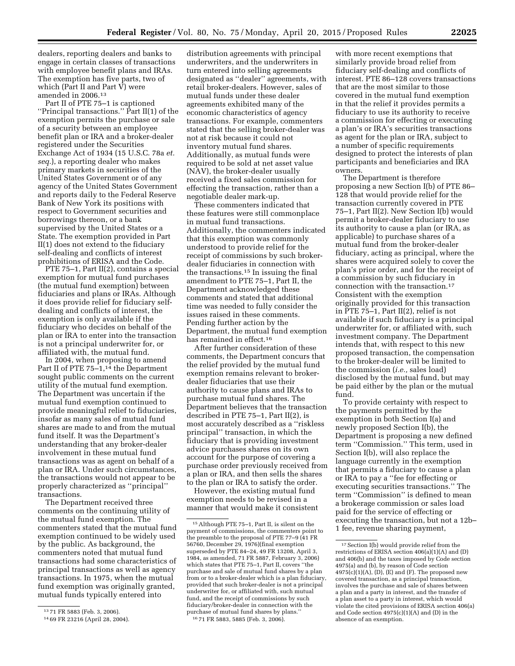dealers, reporting dealers and banks to engage in certain classes of transactions with employee benefit plans and IRAs. The exemption has five parts, two of which (Part II and Part  $\hat{V}$ ) were amended in 2006.13

Part II of PTE 75–1 is captioned ''Principal transactions.'' Part II(1) of the exemption permits the purchase or sale of a security between an employee benefit plan or IRA and a broker-dealer registered under the Securities Exchange Act of 1934 (15 U.S.C. 78a *et. seq.*), a reporting dealer who makes primary markets in securities of the United States Government or of any agency of the United States Government and reports daily to the Federal Reserve Bank of New York its positions with respect to Government securities and borrowings thereon, or a bank supervised by the United States or a State. The exemption provided in Part II(1) does not extend to the fiduciary self-dealing and conflicts of interest prohibitions of ERISA and the Code.

PTE 75–1, Part II(2), contains a special exemption for mutual fund purchases (the mutual fund exemption) between fiduciaries and plans or IRAs. Although it does provide relief for fiduciary selfdealing and conflicts of interest, the exemption is only available if the fiduciary who decides on behalf of the plan or IRA to enter into the transaction is not a principal underwriter for, or affiliated with, the mutual fund.

In 2004, when proposing to amend Part II of PTE 75-1,<sup>14</sup> the Department sought public comments on the current utility of the mutual fund exemption. The Department was uncertain if the mutual fund exemption continued to provide meaningful relief to fiduciaries, insofar as many sales of mutual fund shares are made to and from the mutual fund itself. It was the Department's understanding that any broker-dealer involvement in these mutual fund transactions was as agent on behalf of a plan or IRA. Under such circumstances, the transactions would not appear to be properly characterized as ''principal'' transactions.

The Department received three comments on the continuing utility of the mutual fund exemption. The commenters stated that the mutual fund exemption continued to be widely used by the public. As background, the commenters noted that mutual fund transactions had some characteristics of principal transactions as well as agency transactions. In 1975, when the mutual fund exemption was originally granted, mutual funds typically entered into

distribution agreements with principal underwriters, and the underwriters in turn entered into selling agreements designated as ''dealer'' agreements, with retail broker-dealers. However, sales of mutual funds under these dealer agreements exhibited many of the economic characteristics of agency transactions. For example, commenters stated that the selling broker-dealer was not at risk because it could not inventory mutual fund shares. Additionally, as mutual funds were required to be sold at net asset value (NAV), the broker-dealer usually received a fixed sales commission for effecting the transaction, rather than a negotiable dealer mark-up.

These commenters indicated that these features were still commonplace in mutual fund transactions. Additionally, the commenters indicated that this exemption was commonly understood to provide relief for the receipt of commissions by such brokerdealer fiduciaries in connection with the transactions.15 In issuing the final amendment to PTE 75–1, Part II, the Department acknowledged these comments and stated that additional time was needed to fully consider the issues raised in these comments. Pending further action by the Department, the mutual fund exemption has remained in effect.<sup>16</sup>

After further consideration of these comments, the Department concurs that the relief provided by the mutual fund exemption remains relevant to brokerdealer fiduciaries that use their authority to cause plans and IRAs to purchase mutual fund shares. The Department believes that the transaction described in PTE 75–1, Part II(2), is most accurately described as a ''riskless principal'' transaction, in which the fiduciary that is providing investment advice purchases shares on its own account for the purpose of covering a purchase order previously received from a plan or IRA, and then sells the shares to the plan or IRA to satisfy the order.

However, the existing mutual fund exemption needs to be revised in a manner that would make it consistent

with more recent exemptions that similarly provide broad relief from fiduciary self-dealing and conflicts of interest. PTE 86–128 covers transactions that are the most similar to those covered in the mutual fund exemption in that the relief it provides permits a fiduciary to use its authority to receive a commission for effecting or executing a plan's or IRA's securities transactions as agent for the plan or IRA, subject to a number of specific requirements designed to protect the interests of plan participants and beneficiaries and IRA owners.

The Department is therefore proposing a new Section I(b) of PTE 86– 128 that would provide relief for the transaction currently covered in PTE 75–1, Part II(2). New Section I(b) would permit a broker-dealer fiduciary to use its authority to cause a plan (or IRA, as applicable) to purchase shares of a mutual fund from the broker-dealer fiduciary, acting as principal, where the shares were acquired solely to cover the plan's prior order, and for the receipt of a commission by such fiduciary in connection with the transaction.17 Consistent with the exemption originally provided for this transaction in PTE 75–1, Part II(2), relief is not available if such fiduciary is a principal underwriter for, or affiliated with, such investment company. The Department intends that, with respect to this new proposed transaction, the compensation to the broker-dealer will be limited to the commission (*i.e.,* sales load) disclosed by the mutual fund, but may be paid either by the plan or the mutual fund.

To provide certainty with respect to the payments permitted by the exemption in both Section I(a) and newly proposed Section I(b), the Department is proposing a new defined term ''Commission.'' This term, used in Section I(b), will also replace the language currently in the exemption that permits a fiduciary to cause a plan or IRA to pay a ''fee for effecting or executing securities transactions.'' The term ''Commission'' is defined to mean a brokerage commission or sales load paid for the service of effecting or executing the transaction, but not a 12b– 1 fee, revenue sharing payment,

<sup>13</sup> 71 FR 5883 (Feb. 3, 2006).

<sup>14</sup> 69 FR 23216 (April 28, 2004).

<sup>15</sup>Although PTE 75–1, Part II, is silent on the payment of commissions, the commenters point to the preamble to the proposal of PTE 77-9 (41 FR 56760, December 29, 1976)(final exemption superseded by PTE 84–24, 49 FR 13208, April 3, 1984, as amended, 71 FR 5887, February 3, 2006) which states that PTE 75–1, Part II, covers ''the purchase and sale of mutual fund shares by a plan from or to a broker-dealer which is a plan fiduciary, provided that such broker-dealer is not a principal underwriter for, or affiliated with, such mutual fund, and the receipt of commissions by such fiduciary/broker-dealer in connection with the purchase of mutual fund shares by plans.'' 16 71 FR 5883, 5885 (Feb. 3, 2006).

 $^{\rm 17}$  Section I(b) would provide relief from the restrictions of ERISA section 406(a)(1)(A) and (D) and 406(b) and the taxes imposed by Code section 4975(a) and (b), by reason of Code section  $4975(c)(1)(A)$ ,  $(D)$ ,  $(E)$  and  $(F)$ . The proposed new covered transaction, as a principal transaction, involves the purchase and sale of shares between a plan and a party in interest, and the transfer of a plan asset to a party in interest, which would violate the cited provisions of ERISA section 406(a) and Code section 4975(c)(1)(A) and (D) in the absence of an exemption.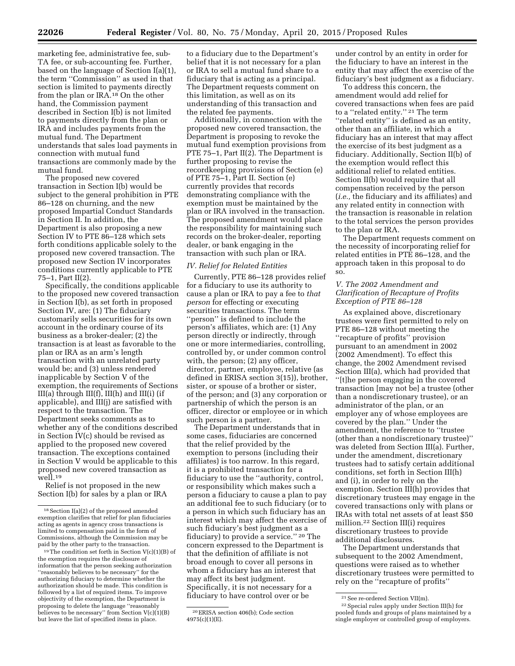marketing fee, administrative fee, sub-TA fee, or sub-accounting fee. Further, based on the language of Section I(a)(1), the term ''Commission'' as used in that section is limited to payments directly from the plan or IRA.18 On the other hand, the Commission payment described in Section I(b) is not limited to payments directly from the plan or IRA and includes payments from the mutual fund. The Department understands that sales load payments in connection with mutual fund transactions are commonly made by the mutual fund.

The proposed new covered transaction in Section I(b) would be subject to the general prohibition in PTE 86–128 on churning, and the new proposed Impartial Conduct Standards in Section II. In addition, the Department is also proposing a new Section IV to PTE 86–128 which sets forth conditions applicable solely to the proposed new covered transaction. The proposed new Section IV incorporates conditions currently applicable to PTE  $75-1$ , Part II(2).

Specifically, the conditions applicable to the proposed new covered transaction in Section I(b), as set forth in proposed Section IV, are: (1) The fiduciary customarily sells securities for its own account in the ordinary course of its business as a broker-dealer; (2) the transaction is at least as favorable to the plan or IRA as an arm's length transaction with an unrelated party would be; and (3) unless rendered inapplicable by Section V of the exemption, the requirements of Sections III(a) through III(f), III(h) and III(i) (if applicable), and III(j) are satisfied with respect to the transaction. The Department seeks comments as to whether any of the conditions described in Section IV(c) should be revised as applied to the proposed new covered transaction. The exceptions contained in Section V would be applicable to this proposed new covered transaction as well.19

Relief is not proposed in the new Section I(b) for sales by a plan or IRA to a fiduciary due to the Department's belief that it is not necessary for a plan or IRA to sell a mutual fund share to a fiduciary that is acting as a principal. The Department requests comment on this limitation, as well as on its understanding of this transaction and the related fee payments.

Additionally, in connection with the proposed new covered transaction, the Department is proposing to revoke the mutual fund exemption provisions from PTE 75–1, Part II(2). The Department is further proposing to revise the recordkeeping provisions of Section (e) of PTE 75–1, Part II. Section (e) currently provides that records demonstrating compliance with the exemption must be maintained by the plan or IRA involved in the transaction. The proposed amendment would place the responsibility for maintaining such records on the broker-dealer, reporting dealer, or bank engaging in the transaction with such plan or IRA.

#### *IV. Relief for Related Entities*

Currently, PTE 86–128 provides relief for a fiduciary to use its authority to cause a plan or IRA to pay a fee to *that person* for effecting or executing securities transactions. The term ''person'' is defined to include the person's affiliates, which are: (1) Any person directly or indirectly, through one or more intermediaries, controlling, controlled by, or under common control with, the person; (2) any officer, director, partner, employee, relative (as defined in ERISA section 3(15)), brother, sister, or spouse of a brother or sister, of the person; and (3) any corporation or partnership of which the person is an officer, director or employee or in which such person is a partner.

The Department understands that in some cases, fiduciaries are concerned that the relief provided by the exemption to persons (including their affiliates) is too narrow. In this regard, it is a prohibited transaction for a fiduciary to use the ''authority, control, or responsibility which makes such a person a fiduciary to cause a plan to pay an additional fee to such fiduciary (or to a person in which such fiduciary has an interest which may affect the exercise of such fiduciary's best judgment as a fiduciary) to provide a service.'' 20 The concern expressed to the Department is that the definition of affiliate is not broad enough to cover all persons in whom a fiduciary has an interest that may affect its best judgment. Specifically, it is not necessary for a fiduciary to have control over or be

under control by an entity in order for the fiduciary to have an interest in the entity that may affect the exercise of the fiduciary's best judgment as a fiduciary.

To address this concern, the amendment would add relief for covered transactions when fees are paid to a ''related entity.'' 21 The term "related entity" is defined as an entity, other than an affiliate, in which a fiduciary has an interest that may affect the exercise of its best judgment as a fiduciary. Additionally, Section II(b) of the exemption would reflect this additional relief to related entities. Section II(b) would require that all compensation received by the person (*i.e.,* the fiduciary and its affiliates) and any related entity in connection with the transaction is reasonable in relation to the total services the person provides to the plan or IRA.

The Department requests comment on the necessity of incorporating relief for related entities in PTE 86–128, and the approach taken in this proposal to do so.

# *V. The 2002 Amendment and Clarification of Recapture of Profits Exception of PTE 86–128*

As explained above, discretionary trustees were first permitted to rely on PTE 86–128 without meeting the ''recapture of profits'' provision pursuant to an amendment in 2002 (2002 Amendment). To effect this change, the 2002 Amendment revised Section III(a), which had provided that ''[t]he person engaging in the covered transaction [may not be] a trustee (other than a nondiscretionary trustee), or an administrator of the plan, or an employer any of whose employees are covered by the plan.'' Under the amendment, the reference to ''trustee (other than a nondiscretionary trustee)'' was deleted from Section III(a). Further, under the amendment, discretionary trustees had to satisfy certain additional conditions, set forth in Section III(h) and (i), in order to rely on the exemption. Section III(h) provides that discretionary trustees may engage in the covered transactions only with plans or IRAs with total net assets of at least \$50 million.22 Section III(i) requires discretionary trustees to provide additional disclosures.

The Department understands that subsequent to the 2002 Amendment, questions were raised as to whether discretionary trustees were permitted to rely on the ''recapture of profits''

<sup>18</sup>Section I(a)(2) of the proposed amended exemption clarifies that relief for plan fiduciaries acting as agents in agency cross transactions is limited to compensation paid in the form of Commissions, although the Commission may be paid by the other party to the transaction.

 $19$ The condition set forth in Section V(c)(1)(B) of the exemption requires the disclosure of information that the person seeking authorization ''reasonably believes to be necessary'' for the authorizing fiduciary to determine whether the authorization should be made. This condition is followed by a list of required items. To improve objectivity of the exemption, the Department is proposing to delete the language ''reasonably believes to be necessary" from Section  $V(c)(1)(B)$ but leave the list of specified items in place.

<sup>20</sup>ERISA section 406(b); Code section 4975(c)(1)(E).

 $^{21}\mathrm{See}$ re-ordered Section VII(m).

<sup>22</sup>Special rules apply under Section III(h) for pooled funds and groups of plans maintained by a single employer or controlled group of employers.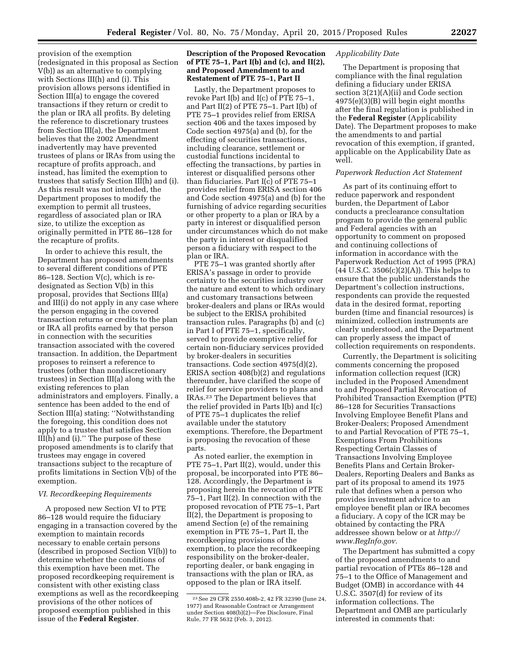provision of the exemption (redesignated in this proposal as Section V(b)) as an alternative to complying with Sections III(h) and (i). This provision allows persons identified in Section III(a) to engage the covered transactions if they return or credit to the plan or IRA all profits. By deleting the reference to discretionary trustees from Section III(a), the Department believes that the 2002 Amendment inadvertently may have prevented trustees of plans or IRAs from using the recapture of profits approach, and instead, has limited the exemption to trustees that satisfy Section III(h) and (i). As this result was not intended, the Department proposes to modify the exemption to permit all trustees, regardless of associated plan or IRA size, to utilize the exception as originally permitted in PTE 86–128 for the recapture of profits.

In order to achieve this result, the Department has proposed amendments to several different conditions of PTE 86–128. Section V(c), which is redesignated as Section V(b) in this proposal, provides that Sections III(a) and III(i) do not apply in any case where the person engaging in the covered transaction returns or credits to the plan or IRA all profits earned by that person in connection with the securities transaction associated with the covered transaction. In addition, the Department proposes to reinsert a reference to trustees (other than nondiscretionary trustees) in Section III(a) along with the existing references to plan administrators and employers. Finally, a sentence has been added to the end of Section III(a) stating: ''Notwithstanding the foregoing, this condition does not apply to a trustee that satisfies Section  $III(h)$  and (i)." The purpose of these proposed amendments is to clarify that trustees may engage in covered transactions subject to the recapture of profits limitations in Section V(b) of the exemption.

# *VI. Recordkeeping Requirements*

A proposed new Section VI to PTE 86–128 would require the fiduciary engaging in a transaction covered by the exemption to maintain records necessary to enable certain persons (described in proposed Section VI(b)) to determine whether the conditions of this exemption have been met. The proposed recordkeeping requirement is consistent with other existing class exemptions as well as the recordkeeping provisions of the other notices of proposed exemption published in this issue of the **Federal Register**.

# **Description of the Proposed Revocation of PTE 75–1, Part I(b) and (c), and II(2), and Proposed Amendment to and Restatement of PTE 75–1, Part II**

Lastly, the Department proposes to revoke Part I(b) and I(c) of PTE 75–1, and Part II(2) of PTE 75–1. Part I(b) of PTE 75–1 provides relief from ERISA section 406 and the taxes imposed by Code section 4975(a) and (b), for the effecting of securities transactions, including clearance, settlement or custodial functions incidental to effecting the transactions, by parties in interest or disqualified persons other than fiduciaries. Part I(c) of PTE 75–1 provides relief from ERISA section 406 and Code section 4975(a) and (b) for the furnishing of advice regarding securities or other property to a plan or IRA by a party in interest or disqualified person under circumstances which do not make the party in interest or disqualified person a fiduciary with respect to the plan or IRA.

PTE 75–1 was granted shortly after ERISA's passage in order to provide certainty to the securities industry over the nature and extent to which ordinary and customary transactions between broker-dealers and plans or IRAs would be subject to the ERISA prohibited transaction rules. Paragraphs (b) and (c) in Part I of PTE 75–1, specifically, served to provide exemptive relief for certain non-fiduciary services provided by broker-dealers in securities transactions. Code section 4975(d)(2), ERISA section 408(b)(2) and regulations thereunder, have clarified the scope of relief for service providers to plans and IRAs.23 The Department believes that the relief provided in Parts I(b) and I(c) of PTE 75–1 duplicates the relief available under the statutory exemptions. Therefore, the Department is proposing the revocation of these parts.

As noted earlier, the exemption in PTE 75–1, Part II(2), would, under this proposal, be incorporated into PTE 86– 128. Accordingly, the Department is proposing herein the revocation of PTE 75–1, Part II(2). In connection with the proposed revocation of PTE 75–1, Part  $\overline{II(2)}$ , the Department is proposing to amend Section (e) of the remaining exemption in PTE 75–1, Part II, the recordkeeping provisions of the exemption, to place the recordkeeping responsibility on the broker-dealer, reporting dealer, or bank engaging in transactions with the plan or IRA, as opposed to the plan or IRA itself.

### *Applicability Date*

The Department is proposing that compliance with the final regulation defining a fiduciary under ERISA section 3(21)(A)(ii) and Code section 4975(e)(3)(B) will begin eight months after the final regulation is published in the **Federal Register** (Applicability Date). The Department proposes to make the amendments to and partial revocation of this exemption, if granted, applicable on the Applicability Date as well.

# *Paperwork Reduction Act Statement*

As part of its continuing effort to reduce paperwork and respondent burden, the Department of Labor conducts a preclearance consultation program to provide the general public and Federal agencies with an opportunity to comment on proposed and continuing collections of information in accordance with the Paperwork Reduction Act of 1995 (PRA)  $(44 \text{ U.S.C. } 3506(c)(2)(A))$ . This helps to ensure that the public understands the Department's collection instructions, respondents can provide the requested data in the desired format, reporting burden (time and financial resources) is minimized, collection instruments are clearly understood, and the Department can properly assess the impact of collection requirements on respondents.

Currently, the Department is soliciting comments concerning the proposed information collection request (ICR) included in the Proposed Amendment to and Proposed Partial Revocation of Prohibited Transaction Exemption (PTE) 86–128 for Securities Transactions Involving Employee Benefit Plans and Broker-Dealers; Proposed Amendment to and Partial Revocation of PTE 75–1, Exemptions From Prohibitions Respecting Certain Classes of Transactions Involving Employee Benefits Plans and Certain Broker-Dealers, Reporting Dealers and Banks as part of its proposal to amend its 1975 rule that defines when a person who provides investment advice to an employee benefit plan or IRA becomes a fiduciary. A copy of the ICR may be obtained by contacting the PRA addressee shown below or at *[http://](http://www.RegInfo.gov) [www.RegInfo.gov.](http://www.RegInfo.gov)* 

The Department has submitted a copy of the proposed amendments to and partial revocation of PTEs 86–128 and 75–1 to the Office of Management and Budget (OMB) in accordance with 44 U.S.C. 3507(d) for review of its information collections. The Department and OMB are particularly interested in comments that:

<sup>23</sup>See 29 CFR 2550.408b-2, 42 FR 32390 (June 24, 1977) and Reasonable Contract or Arrangement under Section 408(b)(2)—Fee Disclosure, Final Rule, 77 FR 5632 (Feb. 3, 2012).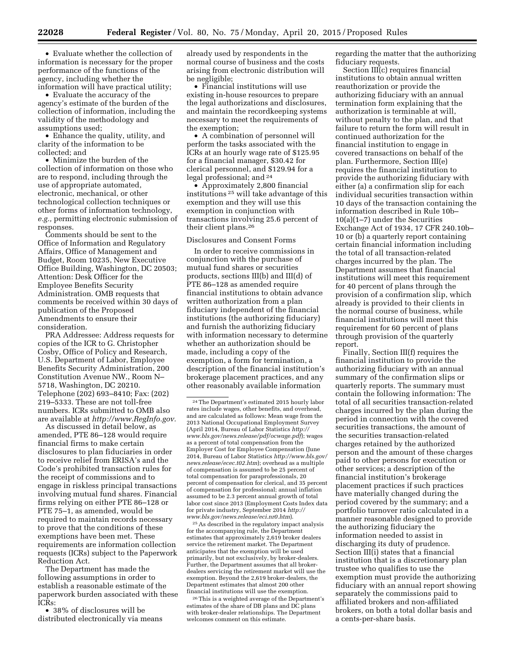• Evaluate whether the collection of information is necessary for the proper

performance of the functions of the agency, including whether the information will have practical utility; • Evaluate the accuracy of the agency's estimate of the burden of the

collection of information, including the validity of the methodology and assumptions used;

• Enhance the quality, utility, and clarity of the information to be collected; and

• Minimize the burden of the collection of information on those who are to respond, including through the use of appropriate automated, electronic, mechanical, or other technological collection techniques or other forms of information technology, *e.g.,* permitting electronic submission of responses.

Comments should be sent to the Office of Information and Regulatory Affairs, Office of Management and Budget, Room 10235, New Executive Office Building, Washington, DC 20503; Attention: Desk Officer for the Employee Benefits Security Administration. OMB requests that comments be received within 30 days of publication of the Proposed Amendments to ensure their consideration.

PRA Addressee: Address requests for copies of the ICR to G. Christopher Cosby, Office of Policy and Research, U.S. Department of Labor, Employee Benefits Security Administration, 200 Constitution Avenue NW., Room N– 5718, Washington, DC 20210. Telephone (202) 693–8410; Fax: (202) 219–5333. These are not toll-free numbers. ICRs submitted to OMB also are available at *[http://www.RegInfo.gov.](http://www.RegInfo.gov)* 

As discussed in detail below, as amended, PTE 86–128 would require financial firms to make certain disclosures to plan fiduciaries in order to receive relief from ERISA's and the Code's prohibited transaction rules for the receipt of commissions and to engage in riskless principal transactions involving mutual fund shares. Financial firms relying on either PTE 86–128 or PTE 75–1, as amended, would be required to maintain records necessary to prove that the conditions of these exemptions have been met. These requirements are information collection requests (ICRs) subject to the Paperwork Reduction Act.

The Department has made the following assumptions in order to establish a reasonable estimate of the paperwork burden associated with these ICRs:

• 38% of disclosures will be distributed electronically via means already used by respondents in the normal course of business and the costs arising from electronic distribution will be negligible;

• Financial institutions will use existing in-house resources to prepare the legal authorizations and disclosures, and maintain the recordkeeping systems necessary to meet the requirements of the exemption;

• A combination of personnel will perform the tasks associated with the ICRs at an hourly wage rate of \$125.95 for a financial manager, \$30.42 for clerical personnel, and \$129.94 for a legal professional; and 24

• Approximately 2,800 financial institutions 25 will take advantage of this exemption and they will use this exemption in conjunction with transactions involving 25.6 percent of their client plans.26

#### Disclosures and Consent Forms

In order to receive commissions in conjunction with the purchase of mutual fund shares or securities products, sections III(b) and III(d) of PTE 86–128 as amended require financial institutions to obtain advance written authorization from a plan fiduciary independent of the financial institutions (the authorizing fiduciary) and furnish the authorizing fiduciary with information necessary to determine whether an authorization should be made, including a copy of the exemption, a form for termination, a description of the financial institution's brokerage placement practices, and any other reasonably available information

25As described in the regulatory impact analysis for the accompanying rule, the Department estimates that approximately 2,619 broker dealers service the retirement market. The Department anticipates that the exemption will be used primarily, but not exclusively, by broker-dealers. Further, the Department assumes that all brokerdealers servicing the retirement market will use the exemption. Beyond the 2,619 broker-dealers, the Department estimates that almost 200 other financial institutions will use the exemption.

26This is a weighted average of the Department's estimates of the share of DB plans and DC plans with broker-dealer relationships. The Department welcomes comment on this estimate.

regarding the matter that the authorizing fiduciary requests.

Section III(c) requires financial institutions to obtain annual written reauthorization or provide the authorizing fiduciary with an annual termination form explaining that the authorization is terminable at will, without penalty to the plan, and that failure to return the form will result in continued authorization for the financial institution to engage in covered transactions on behalf of the plan. Furthermore, Section III(e) requires the financial institution to provide the authorizing fiduciary with either (a) a confirmation slip for each individual securities transaction within 10 days of the transaction containing the information described in Rule 10b– 10(a)(1–7) under the Securities Exchange Act of 1934, 17 CFR 240.10b– 10 or (b) a quarterly report containing certain financial information including the total of all transaction-related charges incurred by the plan. The Department assumes that financial institutions will meet this requirement for 40 percent of plans through the provision of a confirmation slip, which already is provided to their clients in the normal course of business, while financial institutions will meet this requirement for 60 percent of plans through provision of the quarterly report.

Finally, Section III(f) requires the financial institution to provide the authorizing fiduciary with an annual summary of the confirmation slips or quarterly reports. The summary must contain the following information: The total of all securities transaction-related charges incurred by the plan during the period in connection with the covered securities transactions, the amount of the securities transaction-related charges retained by the authorized person and the amount of these charges paid to other persons for execution or other services; a description of the financial institution's brokerage placement practices if such practices have materially changed during the period covered by the summary; and a portfolio turnover ratio calculated in a manner reasonable designed to provide the authorizing fiduciary the information needed to assist in discharging its duty of prudence. Section III(i) states that a financial institution that is a discretionary plan trustee who qualifies to use the exemption must provide the authorizing fiduciary with an annual report showing separately the commissions paid to affiliated brokers and non-affiliated brokers, on both a total dollar basis and a cents-per-share basis.

<sup>24</sup>The Department's estimated 2015 hourly labor rates include wages, other benefits, and overhead, and are calculated as follows: Mean wage from the 2013 National Occupational Employment Survey (April 2014, Bureau of Labor Statistics *[http://](http://www.bls.gov/news.release/pdf/ocwage.pdf) [www.bls.gov/news.release/pdf/ocwage.pdf](http://www.bls.gov/news.release/pdf/ocwage.pdf)*); wages as a percent of total compensation from the Employer Cost for Employee Compensation (June 2014, Bureau of Labor Statistics *[http://www.bls.gov/](http://www.bls.gov/news.release/ecec.t02.htm) [news.release/ecec.t02.htm](http://www.bls.gov/news.release/ecec.t02.htm)*); overhead as a multiple of compensation is assumed to be 25 percent of total compensation for paraprofessionals, 20 percent of compensation for clerical, and 35 percent of compensation for professional; annual inflation assumed to be 2.3 percent annual growth of total labor cost since 2013 (Employment Costs Index data for private industry, September 2014 *[http://](http://www.bls.gov/news.release/eci.nr0.htm) [www.bls.gov/news.release/eci.nr0.htm](http://www.bls.gov/news.release/eci.nr0.htm)*).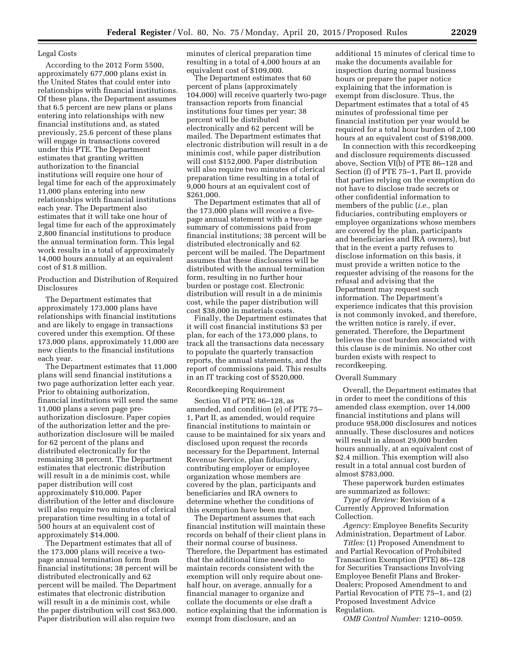### Legal Costs

According to the 2012 Form 5500, approximately 677,000 plans exist in the United States that could enter into relationships with financial institutions. Of these plans, the Department assumes that 6.5 percent are new plans or plans entering into relationships with new financial institutions and, as stated previously, 25.6 percent of these plans will engage in transactions covered under this PTE. The Department estimates that granting written authorization to the financial institutions will require one hour of legal time for each of the approximately 11,000 plans entering into new relationships with financial institutions each year. The Department also estimates that it will take one hour of legal time for each of the approximately 2,800 financial institutions to produce the annual termination form. This legal work results in a total of approximately 14,000 hours annually at an equivalent cost of \$1.8 million.

Production and Distribution of Required Disclosures

The Department estimates that approximately 173,000 plans have relationships with financial institutions and are likely to engage in transactions covered under this exemption. Of these 173,000 plans, approximately 11,000 are new clients to the financial institutions each year.

The Department estimates that 11,000 plans will send financial institutions a two page authorization letter each year. Prior to obtaining authorization, financial institutions will send the same 11,000 plans a seven page preauthorization disclosure. Paper copies of the authorization letter and the preauthorization disclosure will be mailed for 62 percent of the plans and distributed electronically for the remaining 38 percent. The Department estimates that electronic distribution will result in a de minimis cost, while paper distribution will cost approximately \$10,000. Paper distribution of the letter and disclosure will also require two minutes of clerical preparation time resulting in a total of 500 hours at an equivalent cost of approximately \$14,000.

The Department estimates that all of the 173,000 plans will receive a twopage annual termination form from financial institutions; 38 percent will be distributed electronically and 62 percent will be mailed. The Department estimates that electronic distribution will result in a de minimis cost, while the paper distribution will cost \$63,000. Paper distribution will also require two

minutes of clerical preparation time resulting in a total of 4,000 hours at an equivalent cost of \$109,000.

The Department estimates that 60 percent of plans (approximately 104,000) will receive quarterly two-page transaction reports from financial institutions four times per year; 38 percent will be distributed electronically and 62 percent will be mailed. The Department estimates that electronic distribution will result in a de minimis cost, while paper distribution will cost \$152,000. Paper distribution will also require two minutes of clerical preparation time resulting in a total of 9,000 hours at an equivalent cost of \$261,000.

The Department estimates that all of the 173,000 plans will receive a fivepage annual statement with a two-page summary of commissions paid from financial institutions; 38 percent will be distributed electronically and 62 percent will be mailed. The Department assumes that these disclosures will be distributed with the annual termination form, resulting in no further hour burden or postage cost. Electronic distribution will result in a de minimis cost, while the paper distribution will cost \$38,000 in materials costs.

Finally, the Department estimates that it will cost financial institutions \$3 per plan, for each of the 173,000 plans, to track all the transactions data necessary to populate the quarterly transaction reports, the annual statements, and the report of commissions paid. This results in an IT tracking cost of \$520,000.

#### Recordkeeping Requirement

Section VI of PTE 86–128, as amended, and condition (e) of PTE 75– 1, Part II, as amended, would require financial institutions to maintain or cause to be maintained for six years and disclosed upon request the records necessary for the Department, Internal Revenue Service, plan fiduciary, contributing employer or employee organization whose members are covered by the plan, participants and beneficiaries and IRA owners to determine whether the conditions of this exemption have been met.

The Department assumes that each financial institution will maintain these records on behalf of their client plans in their normal course of business. Therefore, the Department has estimated that the additional time needed to maintain records consistent with the exemption will only require about onehalf hour, on average, annually for a financial manager to organize and collate the documents or else draft a notice explaining that the information is exempt from disclosure, and an

additional 15 minutes of clerical time to make the documents available for inspection during normal business hours or prepare the paper notice explaining that the information is exempt from disclosure. Thus, the Department estimates that a total of 45 minutes of professional time per financial institution per year would be required for a total hour burden of 2,100 hours at an equivalent cost of \$198,000.

In connection with this recordkeeping and disclosure requirements discussed above, Section VI(b) of PTE 86–128 and Section (f) of PTE 75–1, Part II, provide that parties relying on the exemption do not have to disclose trade secrets or other confidential information to members of the public (*i.e.,* plan fiduciaries, contributing employers or employee organizations whose members are covered by the plan, participants and beneficiaries and IRA owners), but that in the event a party refuses to disclose information on this basis, it must provide a written notice to the requester advising of the reasons for the refusal and advising that the Department may request such information. The Department's experience indicates that this provision is not commonly invoked, and therefore, the written notice is rarely, if ever, generated. Therefore, the Department believes the cost burden associated with this clause is de minimis. No other cost burden exists with respect to recordkeeping.

#### Overall Summary

Overall, the Department estimates that in order to meet the conditions of this amended class exemption, over 14,000 financial institutions and plans will produce 958,000 disclosures and notices annually. These disclosures and notices will result in almost 29,000 burden hours annually, at an equivalent cost of \$2.4 million. This exemption will also result in a total annual cost burden of almost \$783,000.

These paperwork burden estimates are summarized as follows:

*Type of Review:* Revision of a Currently Approved Information Collection.

*Agency:* Employee Benefits Security Administration, Department of Labor.

*Titles:* (1) Proposed Amendment to and Partial Revocation of Prohibited Transaction Exemption (PTE) 86–128 for Securities Transactions Involving Employee Benefit Plans and Broker-Dealers; Proposed Amendment to and Partial Revocation of PTE 75–1, and (2) Proposed Investment Advice Regulation.

*OMB Control Number:* 1210–0059.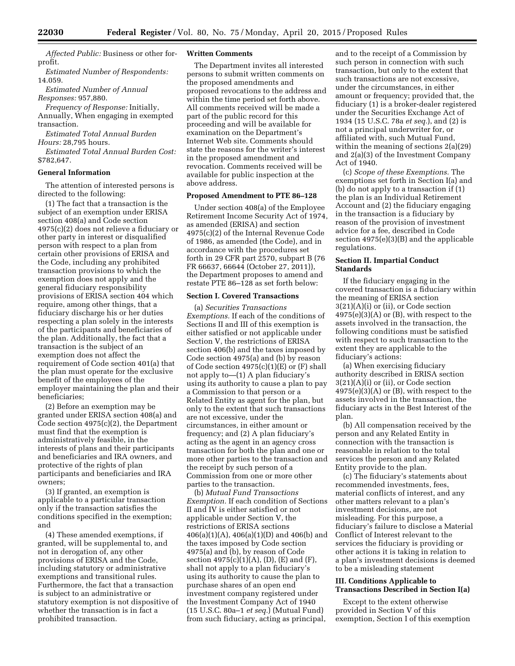*Affected Public:* Business or other forprofit.

*Estimated Number of Respondents:*  14.059.

*Estimated Number of Annual Responses:* 957,880.

*Frequency of Response:* Initially, Annually, When engaging in exempted transaction.

*Estimated Total Annual Burden Hours:* 28,795 hours.

*Estimated Total Annual Burden Cost:*  \$782,647.

### **General Information**

The attention of interested persons is directed to the following:

(1) The fact that a transaction is the subject of an exemption under ERISA section 408(a) and Code section 4975(c)(2) does not relieve a fiduciary or other party in interest or disqualified person with respect to a plan from certain other provisions of ERISA and the Code, including any prohibited transaction provisions to which the exemption does not apply and the general fiduciary responsibility provisions of ERISA section 404 which require, among other things, that a fiduciary discharge his or her duties respecting a plan solely in the interests of the participants and beneficiaries of the plan. Additionally, the fact that a transaction is the subject of an exemption does not affect the requirement of Code section 401(a) that the plan must operate for the exclusive benefit of the employees of the employer maintaining the plan and their beneficiaries;

(2) Before an exemption may be granted under ERISA section 408(a) and Code section 4975(c)(2), the Department must find that the exemption is administratively feasible, in the interests of plans and their participants and beneficiaries and IRA owners, and protective of the rights of plan participants and beneficiaries and IRA owners;

(3) If granted, an exemption is applicable to a particular transaction only if the transaction satisfies the conditions specified in the exemption; and

(4) These amended exemptions, if granted, will be supplemental to, and not in derogation of, any other provisions of ERISA and the Code, including statutory or administrative exemptions and transitional rules. Furthermore, the fact that a transaction is subject to an administrative or statutory exemption is not dispositive of whether the transaction is in fact a prohibited transaction.

#### **Written Comments**

The Department invites all interested persons to submit written comments on the proposed amendments and proposed revocations to the address and within the time period set forth above. All comments received will be made a part of the public record for this proceeding and will be available for examination on the Department's Internet Web site. Comments should state the reasons for the writer's interest in the proposed amendment and revocation. Comments received will be available for public inspection at the above address.

#### **Proposed Amendment to PTE 86–128**

Under section 408(a) of the Employee Retirement Income Security Act of 1974, as amended (ERISA) and section 4975(c)(2) of the Internal Revenue Code of 1986, as amended (the Code), and in accordance with the procedures set forth in 29 CFR part 2570, subpart B (76 FR 66637, 66644 (October 27, 2011)), the Department proposes to amend and restate PTE 86–128 as set forth below:

## **Section I. Covered Transactions**

(a) *Securities Transactions Exemptions.* If each of the conditions of Sections II and III of this exemption is either satisfied or not applicable under Section V, the restrictions of ERISA section 406(b) and the taxes imposed by Code section 4975(a) and (b) by reason of Code section  $4975(c)(1)(E)$  or  $(F)$  shall not apply to—(1) A plan fiduciary's using its authority to cause a plan to pay a Commission to that person or a Related Entity as agent for the plan, but only to the extent that such transactions are not excessive, under the circumstances, in either amount or frequency; and (2) A plan fiduciary's acting as the agent in an agency cross transaction for both the plan and one or more other parties to the transaction and the receipt by such person of a Commission from one or more other parties to the transaction.

(b) *Mutual Fund Transactions Exemption.* If each condition of Sections II and IV is either satisfied or not applicable under Section V, the restrictions of ERISA sections 406(a)(1)(A), 406(a)(1)(D) and 406(b) and the taxes imposed by Code section 4975(a) and (b), by reason of Code section  $4975(c)(1)(A)$ , (D), (E) and (F), shall not apply to a plan fiduciary's using its authority to cause the plan to purchase shares of an open end investment company registered under the Investment Company Act of 1940 (15 U.S.C. 80a–1 *et seq.*) (Mutual Fund) from such fiduciary, acting as principal,

and to the receipt of a Commission by such person in connection with such transaction, but only to the extent that such transactions are not excessive, under the circumstances, in either amount or frequency; provided that, the fiduciary (1) is a broker-dealer registered under the Securities Exchange Act of 1934 (15 U.S.C. 78a *et seq.*), and (2) is not a principal underwriter for, or affiliated with, such Mutual Fund, within the meaning of sections 2(a)(29) and 2(a)(3) of the Investment Company Act of 1940.

(c) *Scope of these Exemptions.* The exemptions set forth in Section I(a) and (b) do not apply to a transaction if (1) the plan is an Individual Retirement Account and (2) the fiduciary engaging in the transaction is a fiduciary by reason of the provision of investment advice for a fee, described in Code section 4975(e)(3)(B) and the applicable regulations.

### **Section II. Impartial Conduct Standards**

If the fiduciary engaging in the covered transaction is a fiduciary within the meaning of ERISA section 3(21)(A)(i) or (ii), or Code section  $4975(e)(3)(A)$  or  $(B)$ , with respect to the assets involved in the transaction, the following conditions must be satisfied with respect to such transaction to the extent they are applicable to the fiduciary's actions:

(a) When exercising fiduciary authority described in ERISA section 3(21)(A)(i) or (ii), or Code section  $4975(e)(3)(A)$  or  $(B)$ , with respect to the assets involved in the transaction, the fiduciary acts in the Best Interest of the plan.

(b) All compensation received by the person and any Related Entity in connection with the transaction is reasonable in relation to the total services the person and any Related Entity provide to the plan.

(c) The fiduciary's statements about recommended investments, fees, material conflicts of interest, and any other matters relevant to a plan's investment decisions, are not misleading. For this purpose, a fiduciary's failure to disclose a Material Conflict of Interest relevant to the services the fiduciary is providing or other actions it is taking in relation to a plan's investment decisions is deemed to be a misleading statement

# **III. Conditions Applicable to Transactions Described in Section I(a)**

Except to the extent otherwise provided in Section V of this exemption, Section I of this exemption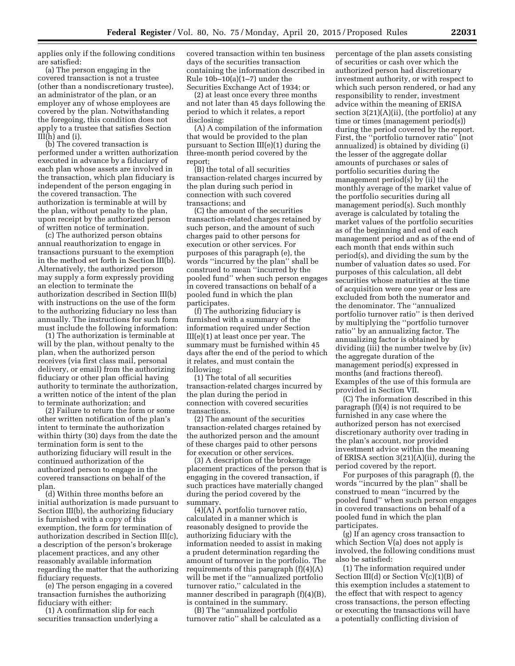applies only if the following conditions are satisfied:

(a) The person engaging in the covered transaction is not a trustee (other than a nondiscretionary trustee), an administrator of the plan, or an employer any of whose employees are covered by the plan. Notwithstanding the foregoing, this condition does not apply to a trustee that satisfies Section III(h) and (i).

(b) The covered transaction is performed under a written authorization executed in advance by a fiduciary of each plan whose assets are involved in the transaction, which plan fiduciary is independent of the person engaging in the covered transaction. The authorization is terminable at will by the plan, without penalty to the plan, upon receipt by the authorized person of written notice of termination.

(c) The authorized person obtains annual reauthorization to engage in transactions pursuant to the exemption in the method set forth in Section III(b). Alternatively, the authorized person may supply a form expressly providing an election to terminate the authorization described in Section III(b) with instructions on the use of the form to the authorizing fiduciary no less than annually. The instructions for such form must include the following information:

(1) The authorization is terminable at will by the plan, without penalty to the plan, when the authorized person receives (via first class mail, personal delivery, or email) from the authorizing fiduciary or other plan official having authority to terminate the authorization, a written notice of the intent of the plan to terminate authorization; and

(2) Failure to return the form or some other written notification of the plan's intent to terminate the authorization within thirty (30) days from the date the termination form is sent to the authorizing fiduciary will result in the continued authorization of the authorized person to engage in the covered transactions on behalf of the plan.

(d) Within three months before an initial authorization is made pursuant to Section III(b), the authorizing fiduciary is furnished with a copy of this exemption, the form for termination of authorization described in Section III(c), a description of the person's brokerage placement practices, and any other reasonably available information regarding the matter that the authorizing fiduciary requests.

(e) The person engaging in a covered transaction furnishes the authorizing fiduciary with either:

(1) A confirmation slip for each securities transaction underlying a covered transaction within ten business days of the securities transaction containing the information described in Rule 10b–10(a)(1–7) under the Securities Exchange Act of 1934; or

(2) at least once every three months and not later than 45 days following the period to which it relates, a report disclosing:

(A) A compilation of the information that would be provided to the plan pursuant to Section III(e)(1) during the three-month period covered by the report;

(B) the total of all securities transaction-related charges incurred by the plan during such period in connection with such covered transactions; and

(C) the amount of the securities transaction-related charges retained by such person, and the amount of such charges paid to other persons for execution or other services. For purposes of this paragraph (e), the words ''incurred by the plan'' shall be construed to mean ''incurred by the pooled fund'' when such person engages in covered transactions on behalf of a pooled fund in which the plan participates.

(f) The authorizing fiduciary is furnished with a summary of the information required under Section III(e)(1) at least once per year. The summary must be furnished within 45 days after the end of the period to which it relates, and must contain the following:

(1) The total of all securities transaction-related charges incurred by the plan during the period in connection with covered securities transactions.

(2) The amount of the securities transaction-related charges retained by the authorized person and the amount of these charges paid to other persons for execution or other services.

(3) A description of the brokerage placement practices of the person that is engaging in the covered transaction, if such practices have materially changed during the period covered by the summary.

(4)(A) A portfolio turnover ratio, calculated in a manner which is reasonably designed to provide the authorizing fiduciary with the information needed to assist in making a prudent determination regarding the amount of turnover in the portfolio. The requirements of this paragraph  $(f)(4)(A)$ will be met if the ''annualized portfolio turnover ratio,'' calculated in the manner described in paragraph (f)(4)(B), is contained in the summary.

(B) The ''annualized portfolio turnover ratio'' shall be calculated as a percentage of the plan assets consisting of securities or cash over which the authorized person had discretionary investment authority, or with respect to which such person rendered, or had any responsibility to render, investment advice within the meaning of ERISA section 3(21)(A)(ii), (the portfolio) at any time or times (management period(s)) during the period covered by the report. First, the ''portfolio turnover ratio'' (not annualized) is obtained by dividing (i) the lesser of the aggregate dollar amounts of purchases or sales of portfolio securities during the management period(s) by (ii) the monthly average of the market value of the portfolio securities during all management period(s). Such monthly average is calculated by totaling the market values of the portfolio securities as of the beginning and end of each management period and as of the end of each month that ends within such period(s), and dividing the sum by the number of valuation dates so used. For purposes of this calculation, all debt securities whose maturities at the time of acquisition were one year or less are excluded from both the numerator and the denominator. The ''annualized portfolio turnover ratio'' is then derived by multiplying the ''portfolio turnover ratio'' by an annualizing factor. The annualizing factor is obtained by dividing (iii) the number twelve by (iv) the aggregate duration of the management period(s) expressed in months (and fractions thereof). Examples of the use of this formula are provided in Section VII.

(C) The information described in this paragraph (f)(4) is not required to be furnished in any case where the authorized person has not exercised discretionary authority over trading in the plan's account, nor provided investment advice within the meaning of ERISA section 3(21)(A)(ii), during the period covered by the report.

For purposes of this paragraph (f), the words ''incurred by the plan'' shall be construed to mean ''incurred by the pooled fund'' when such person engages in covered transactions on behalf of a pooled fund in which the plan participates.

(g) If an agency cross transaction to which Section V(a) does not apply is involved, the following conditions must also be satisfied:

(1) The information required under Section III(d) or Section  $V(c)(1)(B)$  of this exemption includes a statement to the effect that with respect to agency cross transactions, the person effecting or executing the transactions will have a potentially conflicting division of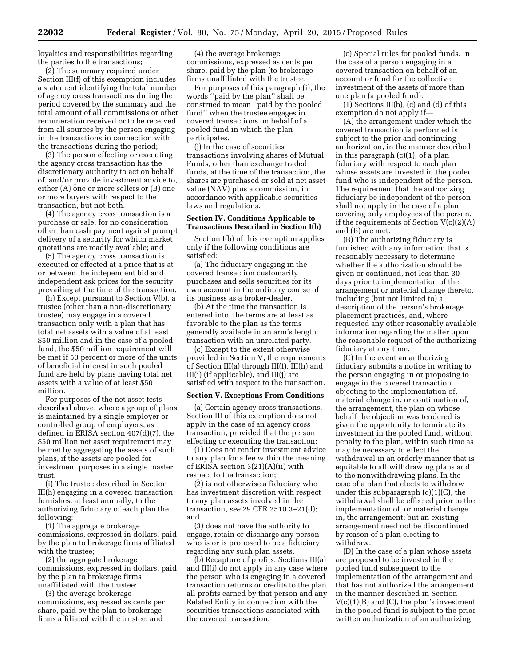loyalties and responsibilities regarding the parties to the transactions;

(2) The summary required under Section III(f) of this exemption includes a statement identifying the total number of agency cross transactions during the period covered by the summary and the total amount of all commissions or other remuneration received or to be received from all sources by the person engaging in the transactions in connection with the transactions during the period;

(3) The person effecting or executing the agency cross transaction has the discretionary authority to act on behalf of, and/or provide investment advice to, either (A) one or more sellers or (B) one or more buyers with respect to the transaction, but not both.

(4) The agency cross transaction is a purchase or sale, for no consideration other than cash payment against prompt delivery of a security for which market quotations are readily available; and

(5) The agency cross transaction is executed or effected at a price that is at or between the independent bid and independent ask prices for the security prevailing at the time of the transaction.

(h) Except pursuant to Section V(b), a trustee (other than a non-discretionary trustee) may engage in a covered transaction only with a plan that has total net assets with a value of at least \$50 million and in the case of a pooled fund, the \$50 million requirement will be met if 50 percent or more of the units of beneficial interest in such pooled fund are held by plans having total net assets with a value of at least \$50 million.

For purposes of the net asset tests described above, where a group of plans is maintained by a single employer or controlled group of employers, as defined in ERISA section 407(d)(7), the \$50 million net asset requirement may be met by aggregating the assets of such plans, if the assets are pooled for investment purposes in a single master trust.

(i) The trustee described in Section III(h) engaging in a covered transaction furnishes, at least annually, to the authorizing fiduciary of each plan the following:

(1) The aggregate brokerage commissions, expressed in dollars, paid by the plan to brokerage firms affiliated with the trustee;

(2) the aggregate brokerage commissions, expressed in dollars, paid by the plan to brokerage firms unaffiliated with the trustee;

(3) the average brokerage commissions, expressed as cents per share, paid by the plan to brokerage firms affiliated with the trustee; and

(4) the average brokerage commissions, expressed as cents per share, paid by the plan (to brokerage firms unaffiliated with the trustee.

For purposes of this paragraph (i), the words ''paid by the plan'' shall be construed to mean ''paid by the pooled fund'' when the trustee engages in covered transactions on behalf of a pooled fund in which the plan participates.

(j) In the case of securities transactions involving shares of Mutual Funds, other than exchange traded funds, at the time of the transaction, the shares are purchased or sold at net asset value (NA $\bar{V}$ ) plus a commission, in accordance with applicable securities laws and regulations.

# **Section IV. Conditions Applicable to Transactions Described in Section I(b)**

Section I(b) of this exemption applies only if the following conditions are satisfied:

(a) The fiduciary engaging in the covered transaction customarily purchases and sells securities for its own account in the ordinary course of its business as a broker-dealer.

(b) At the time the transaction is entered into, the terms are at least as favorable to the plan as the terms generally available in an arm's length transaction with an unrelated party.

(c) Except to the extent otherwise provided in Section V, the requirements of Section III(a) through III(f), III(h) and III(i) (if applicable), and III(j) are satisfied with respect to the transaction.

# **Section V. Exceptions From Conditions**

(a) Certain agency cross transactions. Section III of this exemption does not apply in the case of an agency cross transaction, provided that the person effecting or executing the transaction:

(1) Does not render investment advice to any plan for a fee within the meaning of ERISA section 3(21)(A)(ii) with respect to the transaction;

(2) is not otherwise a fiduciary who has investment discretion with respect to any plan assets involved in the transaction, *see* 29 CFR 2510.3–21(d); and

(3) does not have the authority to engage, retain or discharge any person who is or is proposed to be a fiduciary regarding any such plan assets.

(b) Recapture of profits. Sections III(a) and III(i) do not apply in any case where the person who is engaging in a covered transaction returns or credits to the plan all profits earned by that person and any Related Entity in connection with the securities transactions associated with the covered transaction.

(c) Special rules for pooled funds. In the case of a person engaging in a covered transaction on behalf of an account or fund for the collective investment of the assets of more than one plan (a pooled fund):

(1) Sections III(b), (c) and (d) of this exemption do not apply if—

(A) the arrangement under which the covered transaction is performed is subject to the prior and continuing authorization, in the manner described in this paragraph (c)(1), of a plan fiduciary with respect to each plan whose assets are invested in the pooled fund who is independent of the person. The requirement that the authorizing fiduciary be independent of the person shall not apply in the case of a plan covering only employees of the person, if the requirements of Section V(c)(2)(A) and (B) are met.

(B) The authorizing fiduciary is furnished with any information that is reasonably necessary to determine whether the authorization should be given or continued, not less than 30 days prior to implementation of the arrangement or material change thereto, including (but not limited to) a description of the person's brokerage placement practices, and, where requested any other reasonably available information regarding the matter upon the reasonable request of the authorizing fiduciary at any time.

(C) In the event an authorizing fiduciary submits a notice in writing to the person engaging in or proposing to engage in the covered transaction objecting to the implementation of, material change in, or continuation of, the arrangement, the plan on whose behalf the objection was tendered is given the opportunity to terminate its investment in the pooled fund, without penalty to the plan, within such time as may be necessary to effect the withdrawal in an orderly manner that is equitable to all withdrawing plans and to the nonwithdrawing plans. In the case of a plan that elects to withdraw under this subparagraph (c)(1)(C), the withdrawal shall be effected prior to the implementation of, or material change in, the arrangement; but an existing arrangement need not be discontinued by reason of a plan electing to withdraw.

(D) In the case of a plan whose assets are proposed to be invested in the pooled fund subsequent to the implementation of the arrangement and that has not authorized the arrangement in the manner described in Section  $V(c)(1)(B)$  and  $(C)$ , the plan's investment in the pooled fund is subject to the prior written authorization of an authorizing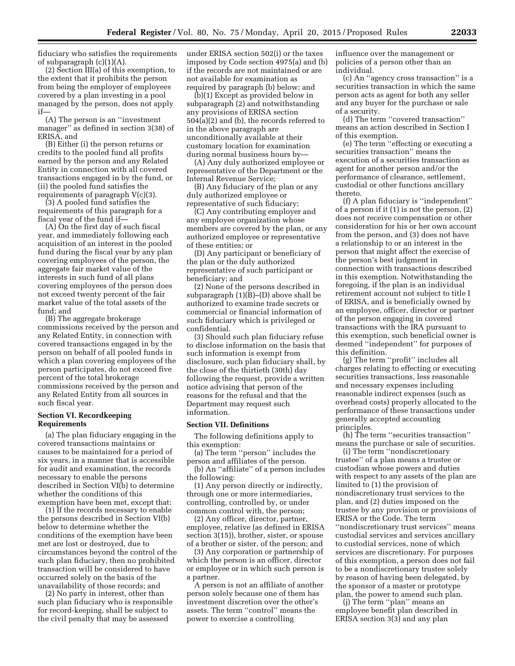fiduciary who satisfies the requirements of subparagraph (c)(1)(A).

(2) Section III(a) of this exemption, to the extent that it prohibits the person from being the employer of employees covered by a plan investing in a pool managed by the person, does not apply if—

(A) The person is an ''investment manager'' as defined in section 3(38) of ERISA, and

(B) Either (i) the person returns or credits to the pooled fund all profits earned by the person and any Related Entity in connection with all covered transactions engaged in by the fund, or (ii) the pooled fund satisfies the requirements of paragraph V(c)(3).

(3) A pooled fund satisfies the requirements of this paragraph for a fiscal year of the fund if—

(A) On the first day of such fiscal year, and immediately following each acquisition of an interest in the pooled fund during the fiscal year by any plan covering employees of the person, the aggregate fair market value of the interests in such fund of all plans covering employees of the person does not exceed twenty percent of the fair market value of the total assets of the fund; and

(B) The aggregate brokerage commissions received by the person and any Related Entity, in connection with covered transactions engaged in by the person on behalf of all pooled funds in which a plan covering employees of the person participates, do not exceed five percent of the total brokerage commissions received by the person and any Related Entity from all sources in such fiscal year.

# **Section VI. Recordkeeping Requirements**

(a) The plan fiduciary engaging in the covered transactions maintains or causes to be maintained for a period of six years, in a manner that is accessible for audit and examination, the records necessary to enable the persons described in Section VI(b) to determine whether the conditions of this exemption have been met, except that:

(1) If the records necessary to enable the persons described in Section VI(b) below to determine whether the conditions of the exemption have been met are lost or destroyed, due to circumstances beyond the control of the such plan fiduciary, then no prohibited transaction will be considered to have occurred solely on the basis of the unavailability of those records; and

(2) No party in interest, other than such plan fiduciary who is responsible for record-keeping, shall be subject to the civil penalty that may be assessed

under ERISA section 502(i) or the taxes imposed by Code section 4975(a) and (b) if the records are not maintained or are not available for examination as required by paragraph (b) below; and

(b)(1) Except as provided below in subparagraph (2) and notwithstanding any provisions of ERISA section 504(a)(2) and (b), the records referred to in the above paragraph are unconditionally available at their customary location for examination during normal business hours by—

(A) Any duly authorized employee or representative of the Department or the Internal Revenue Service;

(B) Any fiduciary of the plan or any duly authorized employee or representative of such fiduciary;

(C) Any contributing employer and any employee organization whose members are covered by the plan, or any authorized employee or representative of these entities; or

(D) Any participant or beneficiary of the plan or the duly authorized representative of such participant or beneficiary; and

(2) None of the persons described in subparagraph (1)(B)–(D) above shall be authorized to examine trade secrets or commercial or financial information of such fiduciary which is privileged or confidential.

(3) Should such plan fiduciary refuse to disclose information on the basis that such information is exempt from disclosure, such plan fiduciary shall, by the close of the thirtieth (30th) day following the request, provide a written notice advising that person of the reasons for the refusal and that the Department may request such information.

#### **Section VII. Definitions**

The following definitions apply to this exemption:

(a) The term ''person'' includes the person and affiliates of the person.

(b) An ''affiliate'' of a person includes the following:

(1) Any person directly or indirectly, through one or more intermediaries, controlling, controlled by, or under common control with, the person;

(2) Any officer, director, partner, employee, relative (as defined in ERISA section 3(15)), brother, sister, or spouse of a brother or sister, of the person; and

(3) Any corporation or partnership of which the person is an officer, director or employee or in which such person is a partner.

A person is not an affiliate of another person solely because one of them has investment discretion over the other's assets. The term ''control'' means the power to exercise a controlling

influence over the management or policies of a person other than an individual.

(c) An ''agency cross transaction'' is a securities transaction in which the same person acts as agent for both any seller and any buyer for the purchase or sale of a security.

(d) The term ''covered transaction'' means an action described in Section I of this exemption.

(e) The term ''effecting or executing a securities transaction'' means the execution of a securities transaction as agent for another person and/or the performance of clearance, settlement, custodial or other functions ancillary thereto.

(f) A plan fiduciary is ''independent'' of a person if it (1) is not the person, (2) does not receive compensation or other consideration for his or her own account from the person, and (3) does not have a relationship to or an interest in the person that might affect the exercise of the person's best judgment in connection with transactions described in this exemption. Notwithstanding the foregoing, if the plan is an individual retirement account not subject to title I of ERISA, and is beneficially owned by an employee, officer, director or partner of the person engaging in covered transactions with the IRA pursuant to this exemption, such beneficial owner is deemed ''independent'' for purposes of this definition.

(g) The term ''profit'' includes all charges relating to effecting or executing securities transactions, less reasonable and necessary expenses including reasonable indirect expenses (such as overhead costs) properly allocated to the performance of these transactions under generally accepted accounting principles.

(h) The term ''securities transaction'' means the purchase or sale of securities.

(i) The term ''nondiscretionary trustee'' of a plan means a trustee or custodian whose powers and duties with respect to any assets of the plan are limited to (1) the provision of nondiscretionary trust services to the plan, and (2) duties imposed on the trustee by any provision or provisions of ERISA or the Code. The term ''nondiscretionary trust services'' means custodial services and services ancillary to custodial services, none of which services are discretionary. For purposes of this exemption, a person does not fail to be a nondiscretionary trustee solely by reason of having been delegated, by the sponsor of a master or prototype

plan, the power to amend such plan. (j) The term ''plan'' means an employee benefit plan described in ERISA section 3(3) and any plan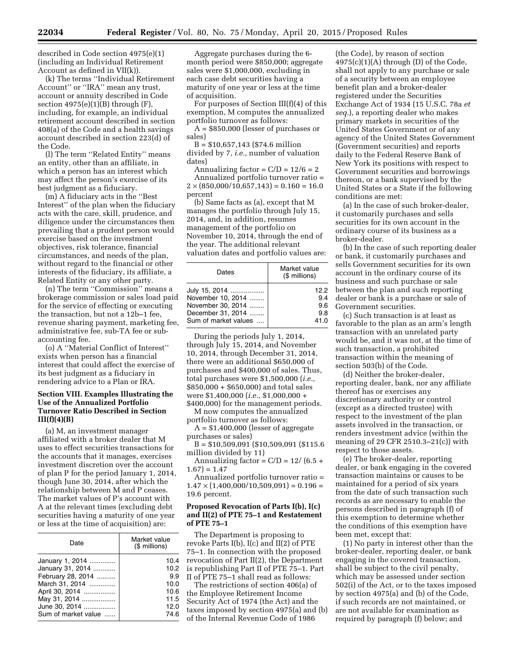described in Code section 4975(e)(1) (including an Individual Retirement Account as defined in VII(k)).

(k) The terms ''Individual Retirement Account'' or ''IRA'' mean any trust, account or annuity described in Code section  $4975(e)(1)(B)$  through  $(F)$ , including, for example, an individual retirement account described in section 408(a) of the Code and a health savings account described in section 223(d) of the Code.

(l) The term ''Related Entity'' means an entity, other than an affiliate, in which a person has an interest which may affect the person's exercise of its best judgment as a fiduciary.

(m) A fiduciary acts in the ''Best Interest'' of the plan when the fiduciary acts with the care, skill, prudence, and diligence under the circumstances then prevailing that a prudent person would exercise based on the investment objectives, risk tolerance, financial circumstances, and needs of the plan, without regard to the financial or other interests of the fiduciary, its affiliate, a Related Entity or any other party.

(n) The term ''Commission'' means a brokerage commission or sales load paid for the service of effecting or executing the transaction, but not a 12b–1 fee, revenue sharing payment, marketing fee, administrative fee, sub-TA fee or subaccounting fee.

(o) A ''Material Conflict of Interest'' exists when person has a financial interest that could affect the exercise of its best judgment as a fiduciary in rendering advice to a Plan or IRA.

# **Section VIII. Examples Illustrating the Use of the Annualized Portfolio Turnover Ratio Described in Section III(f)(4)(B)**

(a) M, an investment manager affiliated with a broker dealer that M uses to effect securities transactions for the accounts that it manages, exercises investment discretion over the account of plan P for the period January 1, 2014, though June 30, 2014, after which the relationship between M and P ceases. The market values of P's account with A at the relevant times (excluding debt securities having a maturity of one year or less at the time of acquisition) are:

| Date                | Market value<br>(\$ millions) |
|---------------------|-------------------------------|
| January 1, 2014     | 10.4                          |
| January 31, 2014    | 10.2                          |
| February 28, 2014   | 9.9                           |
| March 31, 2014      | 10.0                          |
| April 30, 2014      | 10.6                          |
| May 31, 2014        | 11.5                          |
| June 30, 2014       | 12.0                          |
| Sum of market value | 74.6                          |

Aggregate purchases during the 6 month period were \$850,000; aggregate sales were \$1,000,000, excluding in each case debt securities having a maturity of one year or less at the time of acquisition.

For purposes of Section III(f)(4) of this exemption, M computes the annualized portfolio turnover as follows:

A = \$850,000 (lesser of purchases or sales)

 $B = $10,657,143$  (\$74.6 million divided by 7, *i.e.,* number of valuation dates)

Annualizing factor =  $C/D = 12/6 = 2$ Annualized portfolio turnover ratio =  $2 \times (850,000/10,657,143) = 0.160 = 16.0$ percent

(b) Same facts as (a), except that M manages the portfolio through July 15, 2014, and, in addition, resumes management of the portfolio on November 10, 2014, through the end of the year. The additional relevant valuation dates and portfolio values are:

| Dates                | Market value<br>(\$ millions) |
|----------------------|-------------------------------|
| July 15, 2014        | 12.2                          |
| November 10, 2014    | 9.4                           |
| November 30, 2014    | 9.6                           |
| December 31, 2014    | 9.8                           |
| Sum of market values | 41.0                          |

During the periods July 1, 2014, through July 15, 2014, and November 10, 2014, through December 31, 2014, there were an additional \$650,000 of purchases and \$400,000 of sales. Thus, total purchases were \$1,500,000 (*i.e.,*  \$850,000 + \$650,000) and total sales were \$1,400,000 (*i.e.,* \$1,000,000 + \$400,000) for the management periods.

M now computes the annualized portfolio turnover as follows:

 $A = $1,400,000$  (lesser of aggregate purchases or sales)

B = \$10,509,091 (\$10,509,091 (\$115.6 million divided by 11)

Annualizing factor =  $C/D = 12/ (6.5 +$  $1.67$ ) = 1.47

Annualized portfolio turnover ratio =  $1.47 \times (1,400,000/10,509,091) = 0.196 =$ 19.6 percent.

# **Proposed Revocation of Parts I(b), I(c) and II(2) of PTE 75–1 and Restatement of PTE 75–1**

The Department is proposing to revoke Parts I(b), I(c) and II(2) of PTE 75–1. In connection with the proposed revocation of Part II(2), the Department is republishing Part II of PTE 75–1. Part II of PTE 75–1 shall read as follows:

The restrictions of section 406(a) of the Employee Retirement Income Security Act of 1974 (the Act) and the taxes imposed by section 4975(a) and (b) of the Internal Revenue Code of 1986

(the Code), by reason of section  $4975(c)(1)(A)$  through (D) of the Code, shall not apply to any purchase or sale of a security between an employee benefit plan and a broker-dealer registered under the Securities Exchange Act of 1934 (15 U.S.C. 78a *et seq.*), a reporting dealer who makes primary markets in securities of the United States Government or of any agency of the United States Government (Government securities) and reports daily to the Federal Reserve Bank of New York its positions with respect to Government securities and borrowings thereon, or a bank supervised by the United States or a State if the following conditions are met:

(a) In the case of such broker-dealer, it customarily purchases and sells securities for its own account in the ordinary course of its business as a broker-dealer.

(b) In the case of such reporting dealer or bank, it customarily purchases and sells Government securities for its own account in the ordinary course of its business and such purchase or sale between the plan and such reporting dealer or bank is a purchase or sale of Government securities.

(c) Such transaction is at least as favorable to the plan as an arm's length transaction with an unrelated party would be, and it was not, at the time of such transaction, a prohibited transaction within the meaning of section 503(b) of the Code.

(d) Neither the broker-dealer, reporting dealer, bank, nor any affiliate thereof has or exercises any discretionary authority or control (except as a directed trustee) with respect to the investment of the plan assets involved in the transaction, or renders investment advice (within the meaning of 29 CFR 2510.3–21(c)) with respect to those assets.

(e) The broker-dealer, reporting dealer, or bank engaging in the covered transaction maintains or causes to be maintained for a period of six years from the date of such transaction such records as are necessary to enable the persons described in paragraph (f) of this exemption to determine whether the conditions of this exemption have been met, except that:

(1) No party in interest other than the broker-dealer, reporting dealer, or bank engaging in the covered transaction, shall be subject to the civil penalty, which may be assessed under section 502(i) of the Act, or to the taxes imposed by section 4975(a) and (b) of the Code, if such records are not maintained, or are not available for examination as required by paragraph (f) below; and